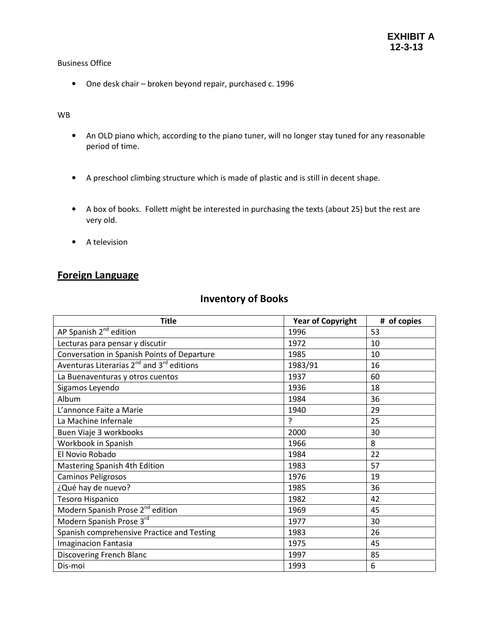## Business Office

• One desk chair – broken beyond repair, purchased c. 1996

## WB

- An OLD piano which, according to the piano tuner, will no longer stay tuned for any reasonable period of time.
- A preschool climbing structure which is made of plastic and is still in decent shape.
- A box of books. Follett might be interested in purchasing the texts (about 25) but the rest are very old.
- A television

# Foreign Language

## Inventory of Books

| <b>Title</b>                                                      | <b>Year of Copyright</b> | # of copies |
|-------------------------------------------------------------------|--------------------------|-------------|
| AP Spanish 2 <sup>nd</sup> edition                                | 1996                     | 53          |
| Lecturas para pensar y discutir                                   | 1972                     | 10          |
| Conversation in Spanish Points of Departure                       | 1985                     | 10          |
| Aventuras Literarias 2 <sup>nd</sup> and 3 <sup>rd</sup> editions | 1983/91                  | 16          |
| La Buenaventuras y otros cuentos                                  | 1937                     | 60          |
| Sigamos Leyendo                                                   | 1936                     | 18          |
| Album                                                             | 1984                     | 36          |
| L'annonce Faite a Marie                                           | 1940                     | 29          |
| La Machine Infernale                                              | P                        | 25          |
| Buen Viaje 3 workbooks                                            | 2000                     | 30          |
| Workbook in Spanish                                               | 1966                     | 8           |
| El Novio Robado                                                   | 1984                     | 22          |
| Mastering Spanish 4th Edition                                     | 1983                     | 57          |
| Caminos Peligrosos                                                | 1976                     | 19          |
| ¿Qué hay de nuevo?                                                | 1985                     | 36          |
| Tesoro Hispanico                                                  | 1982                     | 42          |
| Modern Spanish Prose 2 <sup>nd</sup> edition                      | 1969                     | 45          |
| Modern Spanish Prose 3rd                                          | 1977                     | 30          |
| Spanish comprehensive Practice and Testing                        | 1983                     | 26          |
| <b>Imaginacion Fantasia</b>                                       | 1975                     | 45          |
| Discovering French Blanc                                          | 1997                     | 85          |
| Dis-moi                                                           | 1993                     | 6           |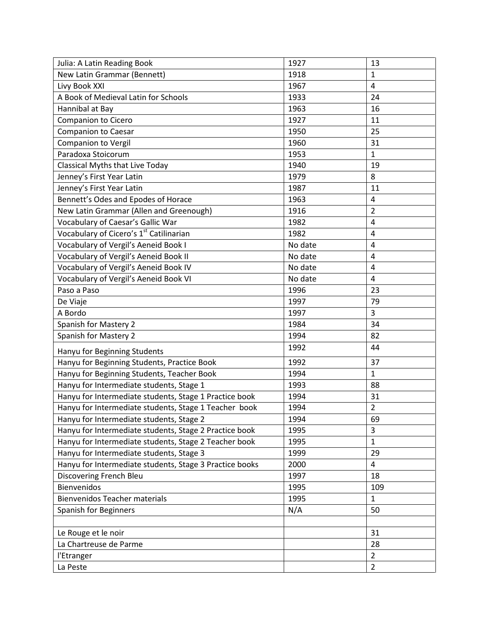| Julia: A Latin Reading Book                             | 1927    | 13             |
|---------------------------------------------------------|---------|----------------|
| New Latin Grammar (Bennett)                             | 1918    | $\mathbf{1}$   |
| Livy Book XXI                                           | 1967    | $\overline{4}$ |
| A Book of Medieval Latin for Schools                    | 1933    | 24             |
| Hannibal at Bay                                         | 1963    | 16             |
| Companion to Cicero                                     | 1927    | 11             |
| <b>Companion to Caesar</b>                              | 1950    | 25             |
| <b>Companion to Vergil</b>                              | 1960    | 31             |
| Paradoxa Stoicorum                                      | 1953    | $\mathbf{1}$   |
| Classical Myths that Live Today                         | 1940    | 19             |
| Jenney's First Year Latin                               | 1979    | 8              |
| Jenney's First Year Latin                               | 1987    | 11             |
| Bennett's Odes and Epodes of Horace                     | 1963    | $\overline{4}$ |
| New Latin Grammar (Allen and Greenough)                 | 1916    | $\overline{2}$ |
| Vocabulary of Caesar's Gallic War                       | 1982    | $\overline{4}$ |
| Vocabulary of Cicero's 1 <sup>st</sup> Catilinarian     | 1982    | 4              |
| Vocabulary of Vergil's Aeneid Book I                    | No date | 4              |
| Vocabulary of Vergil's Aeneid Book II                   | No date | $\overline{4}$ |
| Vocabulary of Vergil's Aeneid Book IV                   | No date | $\overline{4}$ |
| Vocabulary of Vergil's Aeneid Book VI                   | No date | 4              |
| Paso a Paso                                             | 1996    | 23             |
| De Viaje                                                | 1997    | 79             |
| A Bordo                                                 | 1997    | 3              |
| <b>Spanish for Mastery 2</b>                            | 1984    | 34             |
| Spanish for Mastery 2                                   | 1994    | 82             |
| Hanyu for Beginning Students                            | 1992    | 44             |
| Hanyu for Beginning Students, Practice Book             | 1992    | 37             |
| Hanyu for Beginning Students, Teacher Book              | 1994    | $\mathbf{1}$   |
| Hanyu for Intermediate students, Stage 1                | 1993    | 88             |
| Hanyu for Intermediate students, Stage 1 Practice book  | 1994    | 31             |
| Hanyu for Intermediate students, Stage 1 Teacher book   | 1994    | $\overline{2}$ |
| Hanyu for Intermediate students, Stage 2                | 1994    | 69             |
| Hanyu for Intermediate students, Stage 2 Practice book  | 1995    | 3              |
| Hanyu for Intermediate students, Stage 2 Teacher book   | 1995    | $\mathbf{1}$   |
| Hanyu for Intermediate students, Stage 3                | 1999    | 29             |
| Hanyu for Intermediate students, Stage 3 Practice books | 2000    | 4              |
| Discovering French Bleu                                 | 1997    | 18             |
| Bienvenidos                                             | 1995    | 109            |
| <b>Bienvenidos Teacher materials</b>                    | 1995    | $\mathbf{1}$   |
| <b>Spanish for Beginners</b>                            | N/A     | 50             |
|                                                         |         |                |
| Le Rouge et le noir                                     |         | 31             |
| La Chartreuse de Parme                                  |         | 28             |
| l'Etranger                                              |         | $\overline{2}$ |
| La Peste                                                |         | $\overline{2}$ |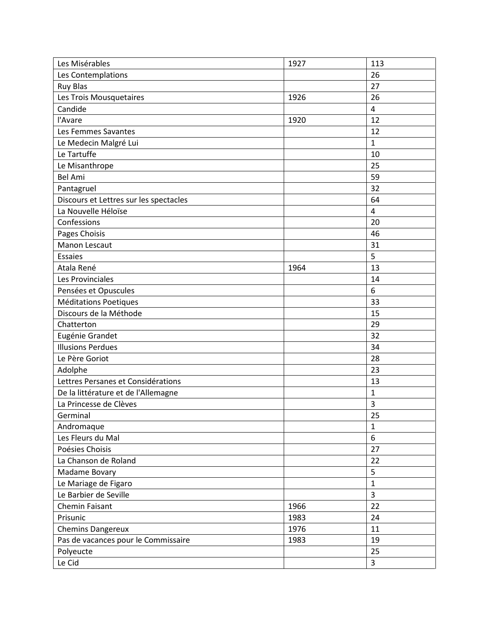| Les Misérables                         | 1927 | 113                     |
|----------------------------------------|------|-------------------------|
| Les Contemplations                     |      | 26                      |
| <b>Ruy Blas</b>                        |      | 27                      |
| Les Trois Mousquetaires                | 1926 | 26                      |
| Candide                                |      | $\overline{4}$          |
| l'Avare                                | 1920 | 12                      |
| Les Femmes Savantes                    |      | 12                      |
| Le Medecin Malgré Lui                  |      | $\mathbf{1}$            |
| Le Tartuffe                            |      | 10                      |
| Le Misanthrope                         |      | 25                      |
| <b>Bel Ami</b>                         |      | 59                      |
| Pantagruel                             |      | 32                      |
| Discours et Lettres sur les spectacles |      | 64                      |
| La Nouvelle Héloïse                    |      | $\overline{\mathbf{4}}$ |
| Confessions                            |      | 20                      |
| Pages Choisis                          |      | 46                      |
| Manon Lescaut                          |      | 31                      |
| <b>Essaies</b>                         |      | 5                       |
| Atala René                             | 1964 | 13                      |
| Les Provinciales                       |      | 14                      |
| Pensées et Opuscules                   |      | 6                       |
| Méditations Poetiques                  |      | 33                      |
| Discours de la Méthode                 |      | 15                      |
| Chatterton                             |      | 29                      |
| Eugénie Grandet                        |      | 32                      |
| <b>Illusions Perdues</b>               |      | 34                      |
| Le Père Goriot                         |      | 28                      |
| Adolphe                                |      | 23                      |
| Lettres Persanes et Considérations     |      | 13                      |
| De la littérature et de l'Allemagne    |      | $\mathbf 1$             |
| La Princesse de Clèves                 |      | 3                       |
| Germinal                               |      | 25                      |
| Andromaque                             |      | $\mathbf{1}$            |
| Les Fleurs du Mal                      |      | $\boldsymbol{6}$        |
| Poésies Choisis                        |      | 27                      |
| La Chanson de Roland                   |      | 22                      |
| Madame Bovary                          |      | 5                       |
| Le Mariage de Figaro                   |      | $\mathbf{1}$            |
| Le Barbier de Seville                  |      | $\overline{3}$          |
| Chemin Faisant                         | 1966 | 22                      |
| Prisunic                               | 1983 | 24                      |
| <b>Chemins Dangereux</b>               | 1976 | 11                      |
| Pas de vacances pour le Commissaire    | 1983 | 19                      |
| Polyeucte                              |      | 25                      |
| Le Cid                                 |      | $\mathbf{3}$            |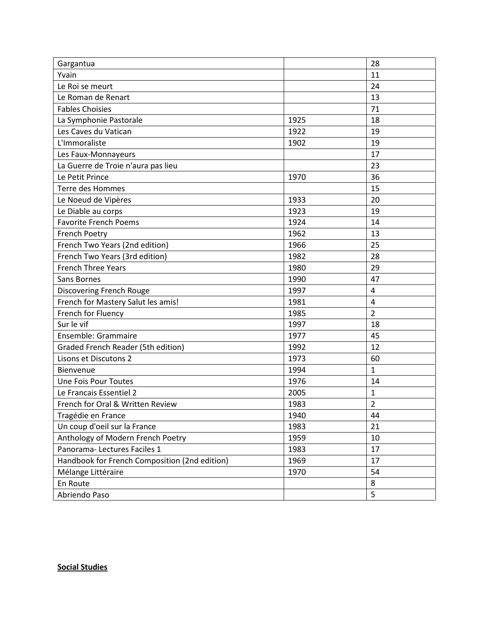| Gargantua                                     |      | 28             |
|-----------------------------------------------|------|----------------|
| Yvain                                         |      | 11             |
| Le Roi se meurt                               |      | 24             |
| Le Roman de Renart                            |      | 13             |
| <b>Fables Choisies</b>                        |      | 71             |
| La Symphonie Pastorale                        | 1925 | 18             |
| Les Caves du Vatican                          | 1922 | 19             |
| L'Immoraliste                                 | 1902 | 19             |
| Les Faux-Monnayeurs                           |      | 17             |
| La Guerre de Troie n'aura pas lieu            |      | 23             |
| Le Petit Prince                               | 1970 | 36             |
| Terre des Hommes                              |      | 15             |
| Le Noeud de Vipères                           | 1933 | 20             |
| Le Diable au corps                            | 1923 | 19             |
| <b>Favorite French Poems</b>                  | 1924 | 14             |
| <b>French Poetry</b>                          | 1962 | 13             |
| French Two Years (2nd edition)                | 1966 | 25             |
| French Two Years (3rd edition)                | 1982 | 28             |
| <b>French Three Years</b>                     | 1980 | 29             |
| Sans Bornes                                   | 1990 | 47             |
| Discovering French Rouge                      | 1997 | $\overline{4}$ |
| French for Mastery Salut les amis!            | 1981 | $\overline{4}$ |
| French for Fluency                            | 1985 | $\overline{2}$ |
| Sur le vif                                    | 1997 | 18             |
| Ensemble: Grammaire                           | 1977 | 45             |
| <b>Graded French Reader (5th edition)</b>     | 1992 | 12             |
| Lisons et Discutons 2                         | 1973 | 60             |
| Bienvenue                                     | 1994 | $\mathbf{1}$   |
| <b>Une Fois Pour Toutes</b>                   | 1976 | 14             |
| Le Francais Essentiel 2                       | 2005 | $\mathbf{1}$   |
| French for Oral & Written Review              | 1983 | $\overline{2}$ |
| Tragédie en France                            | 1940 | 44             |
| Un coup d'oeil sur la France                  | 1983 | 21             |
| Anthology of Modern French Poetry             | 1959 | 10             |
| Panorama-Lectures Faciles 1                   | 1983 | 17             |
| Handbook for French Composition (2nd edition) | 1969 | 17             |
| Mélange Littéraire                            | 1970 | 54             |
| En Route                                      |      | 8              |
| Abriendo Paso                                 |      | 5              |

Social Studies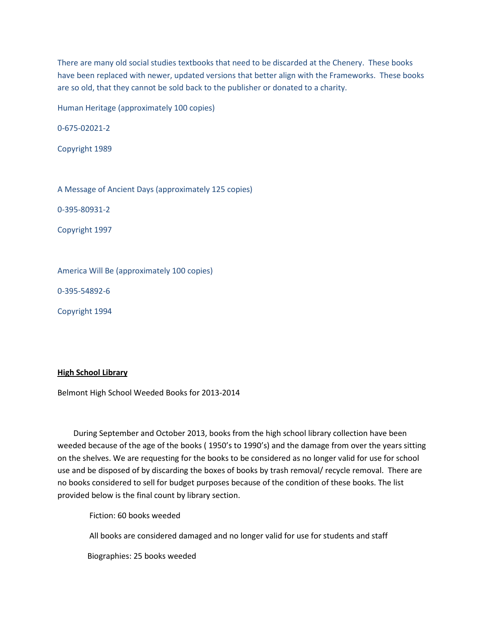There are many old social studies textbooks that need to be discarded at the Chenery. These books have been replaced with newer, updated versions that better align with the Frameworks. These books are so old, that they cannot be sold back to the publisher or donated to a charity.

Human Heritage (approximately 100 copies)

0-675-02021-2

Copyright 1989

A Message of Ancient Days (approximately 125 copies)

0-395-80931-2

Copyright 1997

America Will Be (approximately 100 copies)

0-395-54892-6

Copyright 1994

#### High School Library

Belmont High School Weeded Books for 2013-2014

 During September and October 2013, books from the high school library collection have been weeded because of the age of the books ( 1950's to 1990's) and the damage from over the years sitting on the shelves. We are requesting for the books to be considered as no longer valid for use for school use and be disposed of by discarding the boxes of books by trash removal/ recycle removal. There are no books considered to sell for budget purposes because of the condition of these books. The list provided below is the final count by library section.

Fiction: 60 books weeded

All books are considered damaged and no longer valid for use for students and staff

Biographies: 25 books weeded